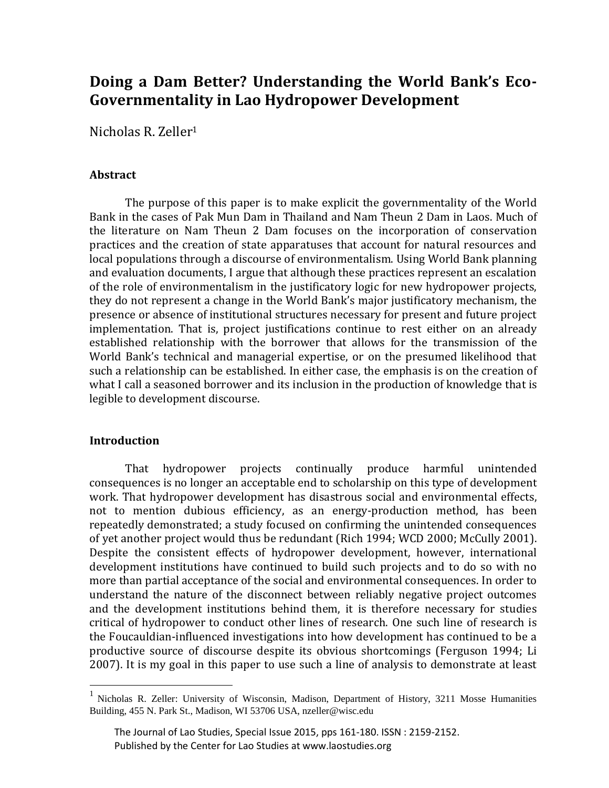# **Doing a Dam Better? Understanding the World Bank's Eco-Governmentality in Lao Hydropower Development**

Nicholas R. Zeller<sup>1</sup>

## **Abstract**

The purpose of this paper is to make explicit the governmentality of the World Bank in the cases of Pak Mun Dam in Thailand and Nam Theun 2 Dam in Laos. Much of the literature on Nam Theun 2 Dam focuses on the incorporation of conservation practices and the creation of state apparatuses that account for natural resources and local populations through a discourse of environmentalism. Using World Bank planning and evaluation documents, I argue that although these practices represent an escalation of the role of environmentalism in the justificatory logic for new hydropower projects, they do not represent a change in the World Bank's major justificatory mechanism, the presence or absence of institutional structures necessary for present and future project implementation. That is, project justifications continue to rest either on an already established relationship with the borrower that allows for the transmission of the World Bank's technical and managerial expertise, or on the presumed likelihood that such a relationship can be established. In either case, the emphasis is on the creation of what I call a seasoned borrower and its inclusion in the production of knowledge that is legible to development discourse.

# **Introduction**

 $\overline{a}$ 

That hydropower projects continually produce harmful unintended consequences is no longer an acceptable end to scholarship on this type of development work. That hydropower development has disastrous social and environmental effects, not to mention dubious efficiency, as an energy-production method, has been repeatedly demonstrated; a study focused on confirming the unintended consequences of yet another project would thus be redundant (Rich 1994; WCD 2000; McCully 2001). Despite the consistent effects of hydropower development, however, international development institutions have continued to build such projects and to do so with no more than partial acceptance of the social and environmental consequences. In order to understand the nature of the disconnect between reliably negative project outcomes and the development institutions behind them, it is therefore necessary for studies critical of hydropower to conduct other lines of research. One such line of research is the Foucauldian-influenced investigations into how development has continued to be a productive source of discourse despite its obvious shortcomings (Ferguson 1994; Li 2007). It is my goal in this paper to use such a line of analysis to demonstrate at least

<sup>&</sup>lt;sup>1</sup> Nicholas R. Zeller: University of Wisconsin, Madison, Department of History, 3211 Mosse Humanities Building, 455 N. Park St., Madison, WI 53706 USA, nzeller@wisc.edu

The Journal of Lao Studies, Special Issue 2015, pps 161-180. ISSN : 2159-2152. Published by the Center for Lao Studies at www.laostudies.org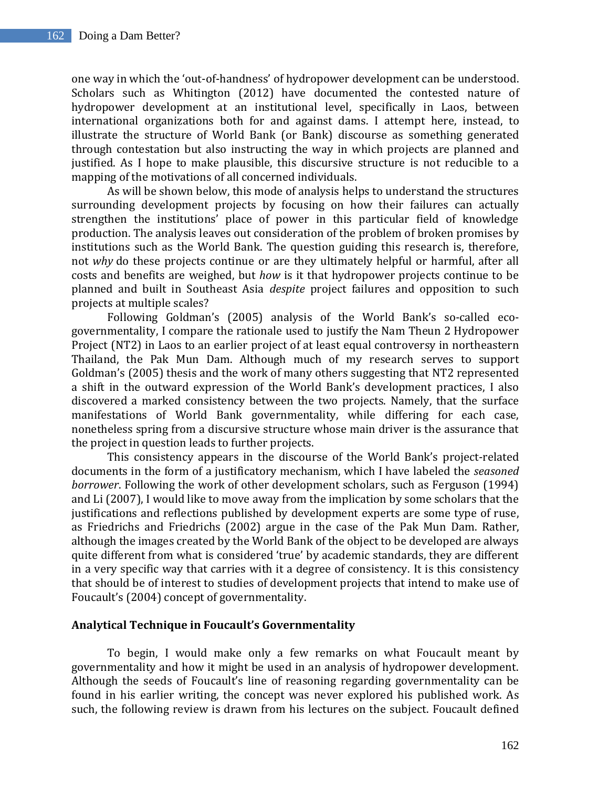one way in which the 'out-of-handness' of hydropower development can be understood. Scholars such as Whitington (2012) have documented the contested nature of hydropower development at an institutional level, specifically in Laos, between international organizations both for and against dams. I attempt here, instead, to illustrate the structure of World Bank (or Bank) discourse as something generated through contestation but also instructing the way in which projects are planned and justified. As I hope to make plausible, this discursive structure is not reducible to a mapping of the motivations of all concerned individuals.

As will be shown below, this mode of analysis helps to understand the structures surrounding development projects by focusing on how their failures can actually strengthen the institutions' place of power in this particular field of knowledge production. The analysis leaves out consideration of the problem of broken promises by institutions such as the World Bank. The question guiding this research is, therefore, not *why* do these projects continue or are they ultimately helpful or harmful, after all costs and benefits are weighed, but *how* is it that hydropower projects continue to be planned and built in Southeast Asia *despite* project failures and opposition to such projects at multiple scales?

Following Goldman's (2005) analysis of the World Bank's so-called ecogovernmentality, I compare the rationale used to justify the Nam Theun 2 Hydropower Project (NT2) in Laos to an earlier project of at least equal controversy in northeastern Thailand, the Pak Mun Dam. Although much of my research serves to support Goldman's (2005) thesis and the work of many others suggesting that NT2 represented a shift in the outward expression of the World Bank's development practices, I also discovered a marked consistency between the two projects. Namely, that the surface manifestations of World Bank governmentality, while differing for each case, nonetheless spring from a discursive structure whose main driver is the assurance that the project in question leads to further projects.

This consistency appears in the discourse of the World Bank's project-related documents in the form of a justificatory mechanism, which I have labeled the *seasoned borrower*. Following the work of other development scholars, such as Ferguson (1994) and Li (2007), I would like to move away from the implication by some scholars that the justifications and reflections published by development experts are some type of ruse, as Friedrichs and Friedrichs (2002) argue in the case of the Pak Mun Dam. Rather, although the images created by the World Bank of the object to be developed are always quite different from what is considered 'true' by academic standards, they are different in a very specific way that carries with it a degree of consistency. It is this consistency that should be of interest to studies of development projects that intend to make use of Foucault's (2004) concept of governmentality.

#### **Analytical Technique in Foucault's Governmentality**

To begin, I would make only a few remarks on what Foucault meant by governmentality and how it might be used in an analysis of hydropower development. Although the seeds of Foucault's line of reasoning regarding governmentality can be found in his earlier writing, the concept was never explored his published work. As such, the following review is drawn from his lectures on the subject. Foucault defined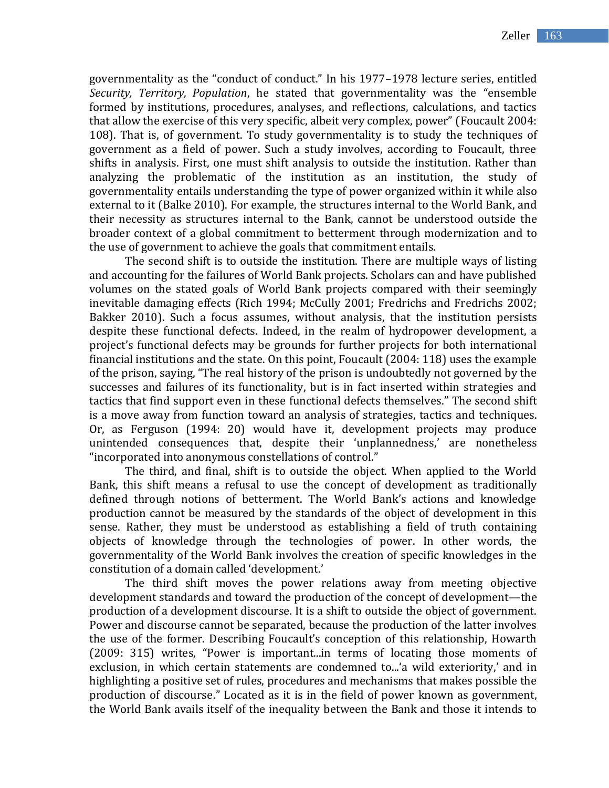governmentality as the "conduct of conduct." In his 1977–1978 lecture series, entitled *Security, Territory, Population*, he stated that governmentality was the "ensemble formed by institutions, procedures, analyses, and reflections, calculations, and tactics that allow the exercise of this very specific, albeit very complex, power" (Foucault 2004: 108). That is, of government. To study governmentality is to study the techniques of government as a field of power. Such a study involves, according to Foucault, three shifts in analysis. First, one must shift analysis to outside the institution. Rather than analyzing the problematic of the institution as an institution, the study of governmentality entails understanding the type of power organized within it while also external to it (Balke 2010). For example, the structures internal to the World Bank, and their necessity as structures internal to the Bank, cannot be understood outside the broader context of a global commitment to betterment through modernization and to the use of government to achieve the goals that commitment entails.

The second shift is to outside the institution. There are multiple ways of listing and accounting for the failures of World Bank projects. Scholars can and have published volumes on the stated goals of World Bank projects compared with their seemingly inevitable damaging effects (Rich 1994; McCully 2001; Fredrichs and Fredrichs 2002; Bakker 2010). Such a focus assumes, without analysis, that the institution persists despite these functional defects. Indeed, in the realm of hydropower development, a project's functional defects may be grounds for further projects for both international financial institutions and the state. On this point, Foucault (2004: 118) uses the example of the prison, saying, "The real history of the prison is undoubtedly not governed by the successes and failures of its functionality, but is in fact inserted within strategies and tactics that find support even in these functional defects themselves." The second shift is a move away from function toward an analysis of strategies, tactics and techniques. Or, as Ferguson (1994: 20) would have it, development projects may produce unintended consequences that, despite their 'unplannedness,' are nonetheless "incorporated into anonymous constellations of control."

The third, and final, shift is to outside the object. When applied to the World Bank, this shift means a refusal to use the concept of development as traditionally defined through notions of betterment. The World Bank's actions and knowledge production cannot be measured by the standards of the object of development in this sense. Rather, they must be understood as establishing a field of truth containing objects of knowledge through the technologies of power. In other words, the governmentality of the World Bank involves the creation of specific knowledges in the constitution of a domain called 'development.'

The third shift moves the power relations away from meeting objective development standards and toward the production of the concept of development—the production of a development discourse. It is a shift to outside the object of government. Power and discourse cannot be separated, because the production of the latter involves the use of the former. Describing Foucault's conception of this relationship, Howarth (2009: 315) writes, "Power is important...in terms of locating those moments of exclusion, in which certain statements are condemned to...'a wild exteriority,' and in highlighting a positive set of rules, procedures and mechanisms that makes possible the production of discourse." Located as it is in the field of power known as government, the World Bank avails itself of the inequality between the Bank and those it intends to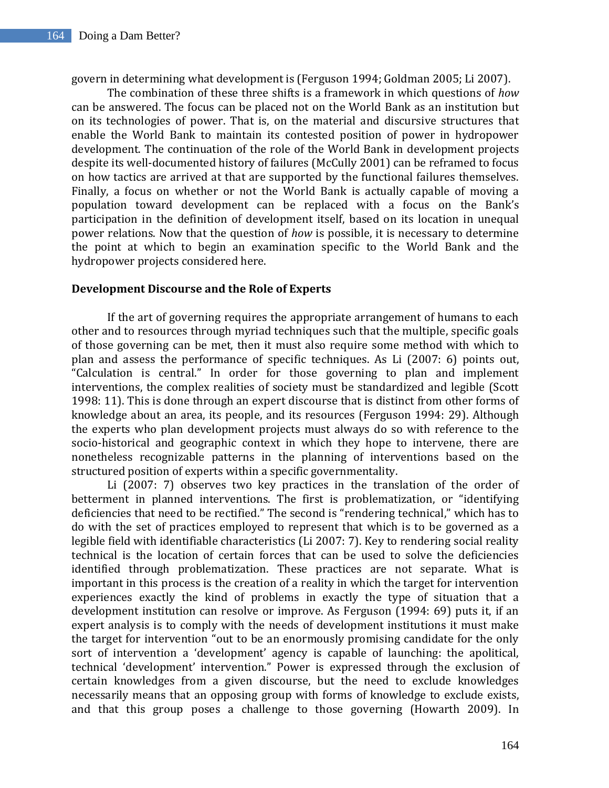govern in determining what development is (Ferguson 1994; Goldman 2005; Li 2007).

The combination of these three shifts is a framework in which questions of *how* can be answered. The focus can be placed not on the World Bank as an institution but on its technologies of power. That is, on the material and discursive structures that enable the World Bank to maintain its contested position of power in hydropower development. The continuation of the role of the World Bank in development projects despite its well-documented history of failures (McCully 2001) can be reframed to focus on how tactics are arrived at that are supported by the functional failures themselves. Finally, a focus on whether or not the World Bank is actually capable of moving a population toward development can be replaced with a focus on the Bank's participation in the definition of development itself, based on its location in unequal power relations. Now that the question of *how* is possible, it is necessary to determine the point at which to begin an examination specific to the World Bank and the hydropower projects considered here.

#### **Development Discourse and the Role of Experts**

If the art of governing requires the appropriate arrangement of humans to each other and to resources through myriad techniques such that the multiple, specific goals of those governing can be met, then it must also require some method with which to plan and assess the performance of specific techniques. As Li (2007: 6) points out, "Calculation is central." In order for those governing to plan and implement interventions, the complex realities of society must be standardized and legible (Scott 1998: 11). This is done through an expert discourse that is distinct from other forms of knowledge about an area, its people, and its resources (Ferguson 1994: 29). Although the experts who plan development projects must always do so with reference to the socio-historical and geographic context in which they hope to intervene, there are nonetheless recognizable patterns in the planning of interventions based on the structured position of experts within a specific governmentality.

Li (2007: 7) observes two key practices in the translation of the order of betterment in planned interventions. The first is problematization, or "identifying deficiencies that need to be rectified." The second is "rendering technical," which has to do with the set of practices employed to represent that which is to be governed as a legible field with identifiable characteristics (Li 2007: 7). Key to rendering social reality technical is the location of certain forces that can be used to solve the deficiencies identified through problematization. These practices are not separate. What is important in this process is the creation of a reality in which the target for intervention experiences exactly the kind of problems in exactly the type of situation that a development institution can resolve or improve. As Ferguson (1994: 69) puts it, if an expert analysis is to comply with the needs of development institutions it must make the target for intervention "out to be an enormously promising candidate for the only sort of intervention a 'development' agency is capable of launching: the apolitical, technical 'development' intervention." Power is expressed through the exclusion of certain knowledges from a given discourse, but the need to exclude knowledges necessarily means that an opposing group with forms of knowledge to exclude exists, and that this group poses a challenge to those governing (Howarth 2009). In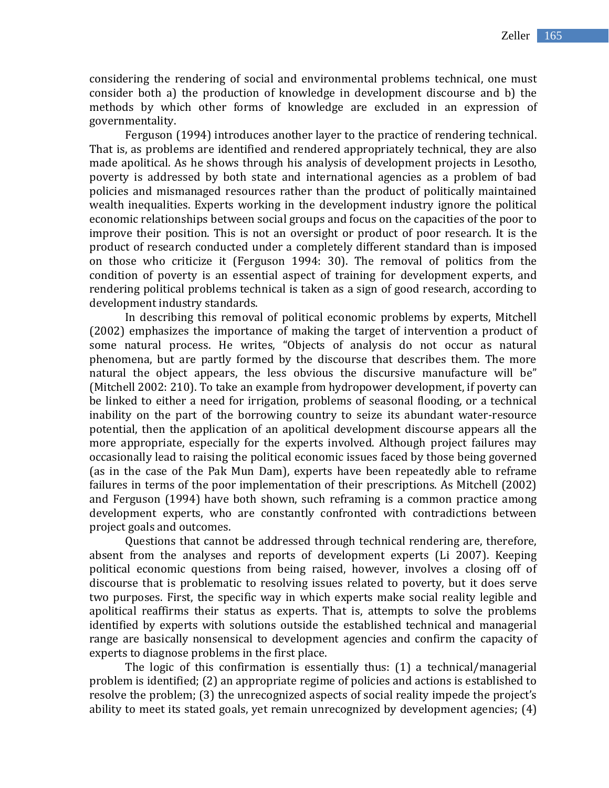considering the rendering of social and environmental problems technical, one must consider both a) the production of knowledge in development discourse and b) the methods by which other forms of knowledge are excluded in an expression of governmentality.

Ferguson (1994) introduces another layer to the practice of rendering technical. That is, as problems are identified and rendered appropriately technical, they are also made apolitical. As he shows through his analysis of development projects in Lesotho, poverty is addressed by both state and international agencies as a problem of bad policies and mismanaged resources rather than the product of politically maintained wealth inequalities. Experts working in the development industry ignore the political economic relationships between social groups and focus on the capacities of the poor to improve their position. This is not an oversight or product of poor research. It is the product of research conducted under a completely different standard than is imposed on those who criticize it (Ferguson 1994: 30). The removal of politics from the condition of poverty is an essential aspect of training for development experts, and rendering political problems technical is taken as a sign of good research, according to development industry standards.

In describing this removal of political economic problems by experts, Mitchell (2002) emphasizes the importance of making the target of intervention a product of some natural process. He writes, "Objects of analysis do not occur as natural phenomena, but are partly formed by the discourse that describes them. The more natural the object appears, the less obvious the discursive manufacture will be" (Mitchell 2002: 210). To take an example from hydropower development, if poverty can be linked to either a need for irrigation, problems of seasonal flooding, or a technical inability on the part of the borrowing country to seize its abundant water-resource potential, then the application of an apolitical development discourse appears all the more appropriate, especially for the experts involved. Although project failures may occasionally lead to raising the political economic issues faced by those being governed (as in the case of the Pak Mun Dam), experts have been repeatedly able to reframe failures in terms of the poor implementation of their prescriptions. As Mitchell (2002) and Ferguson (1994) have both shown, such reframing is a common practice among development experts, who are constantly confronted with contradictions between project goals and outcomes.

Questions that cannot be addressed through technical rendering are, therefore, absent from the analyses and reports of development experts (Li 2007). Keeping political economic questions from being raised, however, involves a closing off of discourse that is problematic to resolving issues related to poverty, but it does serve two purposes. First, the specific way in which experts make social reality legible and apolitical reaffirms their status as experts. That is, attempts to solve the problems identified by experts with solutions outside the established technical and managerial range are basically nonsensical to development agencies and confirm the capacity of experts to diagnose problems in the first place.

The logic of this confirmation is essentially thus: (1) a technical/managerial problem is identified; (2) an appropriate regime of policies and actions is established to resolve the problem; (3) the unrecognized aspects of social reality impede the project's ability to meet its stated goals, yet remain unrecognized by development agencies; (4)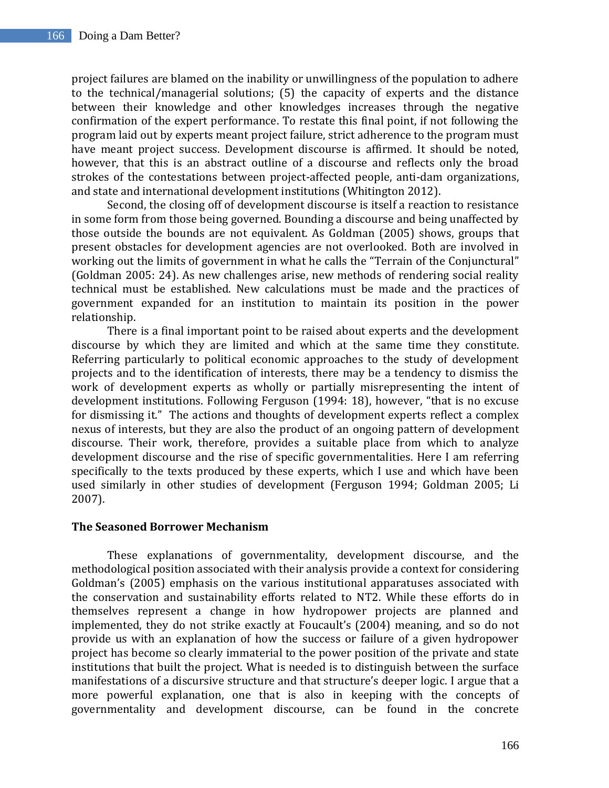project failures are blamed on the inability or unwillingness of the population to adhere to the technical/managerial solutions; (5) the capacity of experts and the distance between their knowledge and other knowledges increases through the negative confirmation of the expert performance. To restate this final point, if not following the program laid out by experts meant project failure, strict adherence to the program must have meant project success. Development discourse is affirmed. It should be noted, however, that this is an abstract outline of a discourse and reflects only the broad strokes of the contestations between project-affected people, anti-dam organizations, and state and international development institutions (Whitington 2012).

Second, the closing off of development discourse is itself a reaction to resistance in some form from those being governed. Bounding a discourse and being unaffected by those outside the bounds are not equivalent. As Goldman (2005) shows, groups that present obstacles for development agencies are not overlooked. Both are involved in working out the limits of government in what he calls the "Terrain of the Conjunctural" (Goldman 2005: 24). As new challenges arise, new methods of rendering social reality technical must be established. New calculations must be made and the practices of government expanded for an institution to maintain its position in the power relationship.

There is a final important point to be raised about experts and the development discourse by which they are limited and which at the same time they constitute. Referring particularly to political economic approaches to the study of development projects and to the identification of interests, there may be a tendency to dismiss the work of development experts as wholly or partially misrepresenting the intent of development institutions. Following Ferguson (1994: 18), however, "that is no excuse for dismissing it." The actions and thoughts of development experts reflect a complex nexus of interests, but they are also the product of an ongoing pattern of development discourse. Their work, therefore, provides a suitable place from which to analyze development discourse and the rise of specific governmentalities. Here I am referring specifically to the texts produced by these experts, which I use and which have been used similarly in other studies of development (Ferguson 1994; Goldman 2005; Li 2007).

# **The Seasoned Borrower Mechanism**

These explanations of governmentality, development discourse, and the methodological position associated with their analysis provide a context for considering Goldman's (2005) emphasis on the various institutional apparatuses associated with the conservation and sustainability efforts related to NT2. While these efforts do in themselves represent a change in how hydropower projects are planned and implemented, they do not strike exactly at Foucault's (2004) meaning, and so do not provide us with an explanation of how the success or failure of a given hydropower project has become so clearly immaterial to the power position of the private and state institutions that built the project. What is needed is to distinguish between the surface manifestations of a discursive structure and that structure's deeper logic. I argue that a more powerful explanation, one that is also in keeping with the concepts of governmentality and development discourse, can be found in the concrete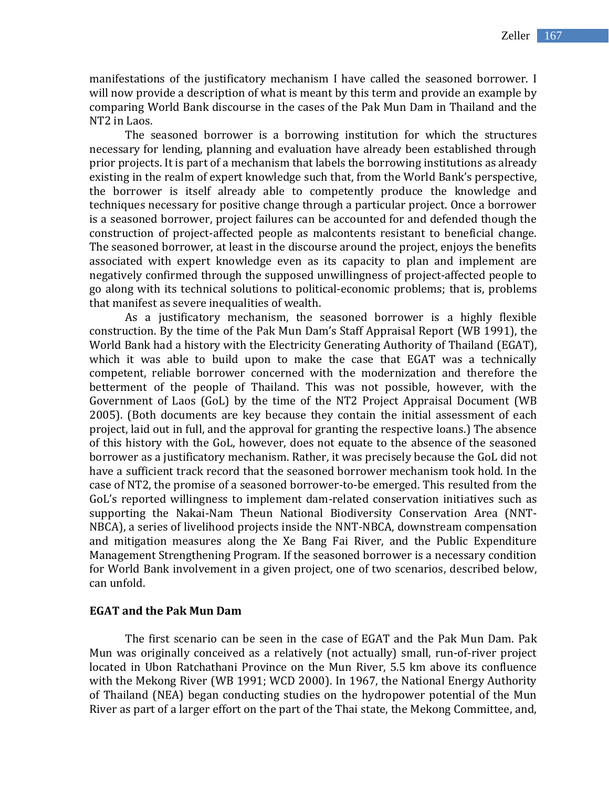manifestations of the justificatory mechanism I have called the seasoned borrower. I will now provide a description of what is meant by this term and provide an example by comparing World Bank discourse in the cases of the Pak Mun Dam in Thailand and the NT2 in Laos.

The seasoned borrower is a borrowing institution for which the structures necessary for lending, planning and evaluation have already been established through prior projects. It is part of a mechanism that labels the borrowing institutions as already existing in the realm of expert knowledge such that, from the World Bank's perspective, the borrower is itself already able to competently produce the knowledge and techniques necessary for positive change through a particular project. Once a borrower is a seasoned borrower, project failures can be accounted for and defended though the construction of project-affected people as malcontents resistant to beneficial change. The seasoned borrower, at least in the discourse around the project, enjoys the benefits associated with expert knowledge even as its capacity to plan and implement are negatively confirmed through the supposed unwillingness of project-affected people to go along with its technical solutions to political-economic problems; that is, problems that manifest as severe inequalities of wealth.

As a justificatory mechanism, the seasoned borrower is a highly flexible construction. By the time of the Pak Mun Dam's Staff Appraisal Report (WB 1991), the World Bank had a history with the Electricity Generating Authority of Thailand (EGAT), which it was able to build upon to make the case that EGAT was a technically competent, reliable borrower concerned with the modernization and therefore the betterment of the people of Thailand. This was not possible, however, with the Government of Laos (GoL) by the time of the NT2 Project Appraisal Document (WB 2005). (Both documents are key because they contain the initial assessment of each project, laid out in full, and the approval for granting the respective loans.) The absence of this history with the GoL, however, does not equate to the absence of the seasoned borrower as a justificatory mechanism. Rather, it was precisely because the GoL did not have a sufficient track record that the seasoned borrower mechanism took hold. In the case of NT2, the promise of a seasoned borrower-to-be emerged. This resulted from the GoL's reported willingness to implement dam-related conservation initiatives such as supporting the Nakai-Nam Theun National Biodiversity Conservation Area (NNT-NBCA), a series of livelihood projects inside the NNT-NBCA, downstream compensation and mitigation measures along the Xe Bang Fai River, and the Public Expenditure Management Strengthening Program. If the seasoned borrower is a necessary condition for World Bank involvement in a given project, one of two scenarios, described below, can unfold.

#### **EGAT and the Pak Mun Dam**

The first scenario can be seen in the case of EGAT and the Pak Mun Dam. Pak Mun was originally conceived as a relatively (not actually) small, run-of-river project located in Ubon Ratchathani Province on the Mun River, 5.5 km above its confluence with the Mekong River (WB 1991; WCD 2000). In 1967, the National Energy Authority of Thailand (NEA) began conducting studies on the hydropower potential of the Mun River as part of a larger effort on the part of the Thai state, the Mekong Committee, and,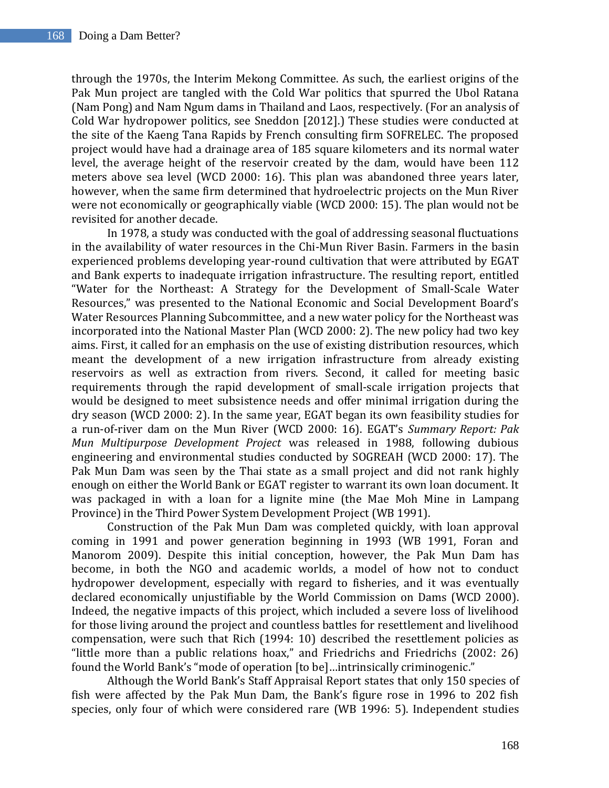through the 1970s, the Interim Mekong Committee. As such, the earliest origins of the Pak Mun project are tangled with the Cold War politics that spurred the Ubol Ratana (Nam Pong) and Nam Ngum dams in Thailand and Laos, respectively. (For an analysis of Cold War hydropower politics, see Sneddon [2012].) These studies were conducted at the site of the Kaeng Tana Rapids by French consulting firm SOFRELEC. The proposed project would have had a drainage area of 185 square kilometers and its normal water level, the average height of the reservoir created by the dam, would have been 112 meters above sea level (WCD 2000: 16). This plan was abandoned three years later, however, when the same firm determined that hydroelectric projects on the Mun River were not economically or geographically viable (WCD 2000: 15). The plan would not be revisited for another decade.

In 1978, a study was conducted with the goal of addressing seasonal fluctuations in the availability of water resources in the Chi-Mun River Basin. Farmers in the basin experienced problems developing year-round cultivation that were attributed by EGAT and Bank experts to inadequate irrigation infrastructure. The resulting report, entitled "Water for the Northeast: A Strategy for the Development of Small-Scale Water Resources," was presented to the National Economic and Social Development Board's Water Resources Planning Subcommittee, and a new water policy for the Northeast was incorporated into the National Master Plan (WCD 2000: 2). The new policy had two key aims. First, it called for an emphasis on the use of existing distribution resources, which meant the development of a new irrigation infrastructure from already existing reservoirs as well as extraction from rivers. Second, it called for meeting basic requirements through the rapid development of small-scale irrigation projects that would be designed to meet subsistence needs and offer minimal irrigation during the dry season (WCD 2000: 2). In the same year, EGAT began its own feasibility studies for a run-of-river dam on the Mun River (WCD 2000: 16). EGAT's *Summary Report: Pak Mun Multipurpose Development Project* was released in 1988, following dubious engineering and environmental studies conducted by SOGREAH (WCD 2000: 17). The Pak Mun Dam was seen by the Thai state as a small project and did not rank highly enough on either the World Bank or EGAT register to warrant its own loan document. It was packaged in with a loan for a lignite mine (the Mae Moh Mine in Lampang Province) in the Third Power System Development Project (WB 1991).

Construction of the Pak Mun Dam was completed quickly, with loan approval coming in 1991 and power generation beginning in 1993 (WB 1991, Foran and Manorom 2009). Despite this initial conception, however, the Pak Mun Dam has become, in both the NGO and academic worlds, a model of how not to conduct hydropower development, especially with regard to fisheries, and it was eventually declared economically unjustifiable by the World Commission on Dams (WCD 2000). Indeed, the negative impacts of this project, which included a severe loss of livelihood for those living around the project and countless battles for resettlement and livelihood compensation, were such that Rich (1994: 10) described the resettlement policies as "little more than a public relations hoax," and Friedrichs and Friedrichs (2002: 26) found the World Bank's "mode of operation [to be]…intrinsically criminogenic."

Although the World Bank's Staff Appraisal Report states that only 150 species of fish were affected by the Pak Mun Dam, the Bank's figure rose in 1996 to 202 fish species, only four of which were considered rare (WB 1996: 5). Independent studies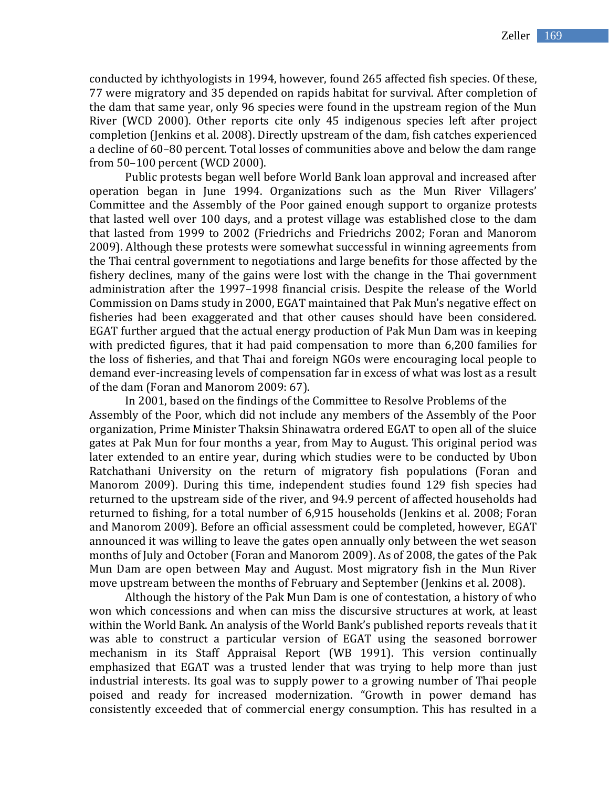conducted by ichthyologists in 1994, however, found 265 affected fish species. Of these, 77 were migratory and 35 depended on rapids habitat for survival. After completion of the dam that same year, only 96 species were found in the upstream region of the Mun River (WCD 2000). Other reports cite only 45 indigenous species left after project completion (Jenkins et al. 2008). Directly upstream of the dam, fish catches experienced a decline of 60–80 percent. Total losses of communities above and below the dam range from 50–100 percent (WCD 2000).

Public protests began well before World Bank loan approval and increased after operation began in June 1994. Organizations such as the Mun River Villagers' Committee and the Assembly of the Poor gained enough support to organize protests that lasted well over 100 days, and a protest village was established close to the dam that lasted from 1999 to 2002 (Friedrichs and Friedrichs 2002; Foran and Manorom 2009). Although these protests were somewhat successful in winning agreements from the Thai central government to negotiations and large benefits for those affected by the fishery declines, many of the gains were lost with the change in the Thai government administration after the 1997–1998 financial crisis. Despite the release of the World Commission on Dams study in 2000, EGAT maintained that Pak Mun's negative effect on fisheries had been exaggerated and that other causes should have been considered. EGAT further argued that the actual energy production of Pak Mun Dam was in keeping with predicted figures, that it had paid compensation to more than 6,200 families for the loss of fisheries, and that Thai and foreign NGOs were encouraging local people to demand ever-increasing levels of compensation far in excess of what was lost as a result of the dam (Foran and Manorom 2009: 67).

In 2001, based on the findings of the Committee to Resolve Problems of the Assembly of the Poor, which did not include any members of the Assembly of the Poor organization, Prime Minister Thaksin Shinawatra ordered EGAT to open all of the sluice gates at Pak Mun for four months a year, from May to August. This original period was later extended to an entire year, during which studies were to be conducted by Ubon Ratchathani University on the return of migratory fish populations (Foran and Manorom 2009). During this time, independent studies found 129 fish species had returned to the upstream side of the river, and 94.9 percent of affected households had returned to fishing, for a total number of 6,915 households (Jenkins et al. 2008; Foran and Manorom 2009). Before an official assessment could be completed, however, EGAT announced it was willing to leave the gates open annually only between the wet season months of July and October (Foran and Manorom 2009). As of 2008, the gates of the Pak Mun Dam are open between May and August. Most migratory fish in the Mun River move upstream between the months of February and September (Jenkins et al. 2008).

Although the history of the Pak Mun Dam is one of contestation, a history of who won which concessions and when can miss the discursive structures at work, at least within the World Bank. An analysis of the World Bank's published reports reveals that it was able to construct a particular version of EGAT using the seasoned borrower mechanism in its Staff Appraisal Report (WB 1991). This version continually emphasized that EGAT was a trusted lender that was trying to help more than just industrial interests. Its goal was to supply power to a growing number of Thai people poised and ready for increased modernization. "Growth in power demand has consistently exceeded that of commercial energy consumption. This has resulted in a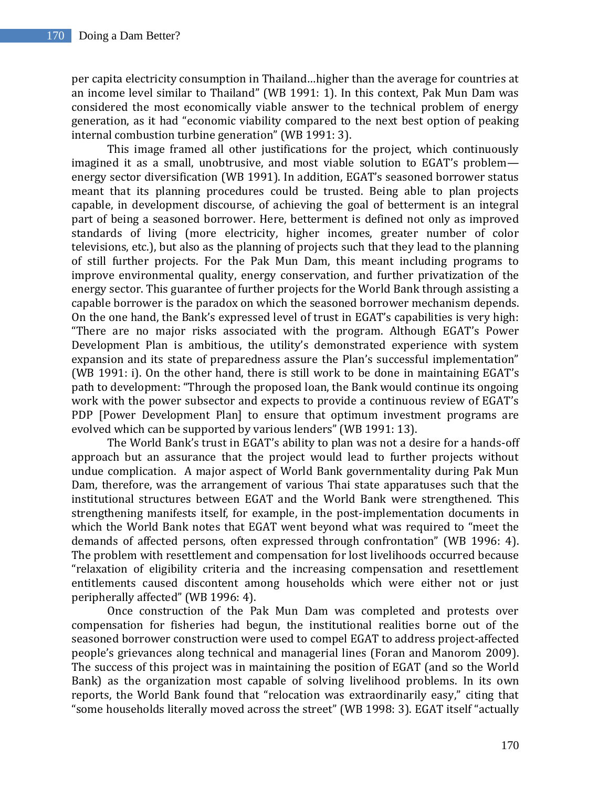per capita electricity consumption in Thailand…higher than the average for countries at an income level similar to Thailand" (WB 1991: 1). In this context, Pak Mun Dam was considered the most economically viable answer to the technical problem of energy generation, as it had "economic viability compared to the next best option of peaking internal combustion turbine generation" (WB 1991: 3).

This image framed all other justifications for the project, which continuously imagined it as a small, unobtrusive, and most viable solution to EGAT's problem energy sector diversification (WB 1991). In addition, EGAT's seasoned borrower status meant that its planning procedures could be trusted. Being able to plan projects capable, in development discourse, of achieving the goal of betterment is an integral part of being a seasoned borrower. Here, betterment is defined not only as improved standards of living (more electricity, higher incomes, greater number of color televisions, etc.), but also as the planning of projects such that they lead to the planning of still further projects. For the Pak Mun Dam, this meant including programs to improve environmental quality, energy conservation, and further privatization of the energy sector. This guarantee of further projects for the World Bank through assisting a capable borrower is the paradox on which the seasoned borrower mechanism depends. On the one hand, the Bank's expressed level of trust in EGAT's capabilities is very high: "There are no major risks associated with the program. Although EGAT's Power Development Plan is ambitious, the utility's demonstrated experience with system expansion and its state of preparedness assure the Plan's successful implementation" (WB 1991: i). On the other hand, there is still work to be done in maintaining EGAT's path to development: "Through the proposed loan, the Bank would continue its ongoing work with the power subsector and expects to provide a continuous review of EGAT's PDP [Power Development Plan] to ensure that optimum investment programs are evolved which can be supported by various lenders" (WB 1991: 13).

The World Bank's trust in EGAT's ability to plan was not a desire for a hands-off approach but an assurance that the project would lead to further projects without undue complication. A major aspect of World Bank governmentality during Pak Mun Dam, therefore, was the arrangement of various Thai state apparatuses such that the institutional structures between EGAT and the World Bank were strengthened. This strengthening manifests itself, for example, in the post-implementation documents in which the World Bank notes that EGAT went beyond what was required to "meet the demands of affected persons, often expressed through confrontation" (WB 1996: 4). The problem with resettlement and compensation for lost livelihoods occurred because "relaxation of eligibility criteria and the increasing compensation and resettlement entitlements caused discontent among households which were either not or just peripherally affected" (WB 1996: 4).

Once construction of the Pak Mun Dam was completed and protests over compensation for fisheries had begun, the institutional realities borne out of the seasoned borrower construction were used to compel EGAT to address project-affected people's grievances along technical and managerial lines (Foran and Manorom 2009). The success of this project was in maintaining the position of EGAT (and so the World Bank) as the organization most capable of solving livelihood problems. In its own reports, the World Bank found that "relocation was extraordinarily easy," citing that "some households literally moved across the street" (WB 1998: 3). EGAT itself "actually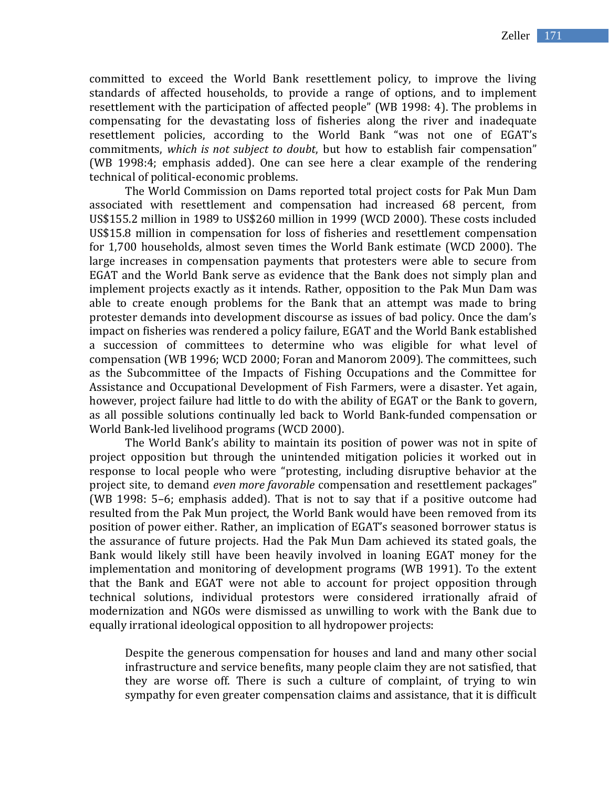committed to exceed the World Bank resettlement policy, to improve the living standards of affected households, to provide a range of options, and to implement resettlement with the participation of affected people" (WB 1998: 4). The problems in compensating for the devastating loss of fisheries along the river and inadequate resettlement policies, according to the World Bank "was not one of EGAT's commitments, *which is not subject to doubt*, but how to establish fair compensation" (WB 1998:4; emphasis added). One can see here a clear example of the rendering technical of political-economic problems.

The World Commission on Dams reported total project costs for Pak Mun Dam associated with resettlement and compensation had increased 68 percent, from US\$155.2 million in 1989 to US\$260 million in 1999 (WCD 2000). These costs included US\$15.8 million in compensation for loss of fisheries and resettlement compensation for 1,700 households, almost seven times the World Bank estimate (WCD 2000). The large increases in compensation payments that protesters were able to secure from EGAT and the World Bank serve as evidence that the Bank does not simply plan and implement projects exactly as it intends. Rather, opposition to the Pak Mun Dam was able to create enough problems for the Bank that an attempt was made to bring protester demands into development discourse as issues of bad policy. Once the dam's impact on fisheries was rendered a policy failure, EGAT and the World Bank established a succession of committees to determine who was eligible for what level of compensation (WB 1996; WCD 2000; Foran and Manorom 2009). The committees, such as the Subcommittee of the Impacts of Fishing Occupations and the Committee for Assistance and Occupational Development of Fish Farmers, were a disaster. Yet again, however, project failure had little to do with the ability of EGAT or the Bank to govern, as all possible solutions continually led back to World Bank-funded compensation or World Bank-led livelihood programs (WCD 2000).

The World Bank's ability to maintain its position of power was not in spite of project opposition but through the unintended mitigation policies it worked out in response to local people who were "protesting, including disruptive behavior at the project site, to demand *even more favorable* compensation and resettlement packages" (WB 1998: 5–6; emphasis added). That is not to say that if a positive outcome had resulted from the Pak Mun project, the World Bank would have been removed from its position of power either. Rather, an implication of EGAT's seasoned borrower status is the assurance of future projects. Had the Pak Mun Dam achieved its stated goals, the Bank would likely still have been heavily involved in loaning EGAT money for the implementation and monitoring of development programs (WB 1991). To the extent that the Bank and EGAT were not able to account for project opposition through technical solutions, individual protestors were considered irrationally afraid of modernization and NGOs were dismissed as unwilling to work with the Bank due to equally irrational ideological opposition to all hydropower projects:

Despite the generous compensation for houses and land and many other social infrastructure and service benefits, many people claim they are not satisfied, that they are worse off. There is such a culture of complaint, of trying to win sympathy for even greater compensation claims and assistance, that it is difficult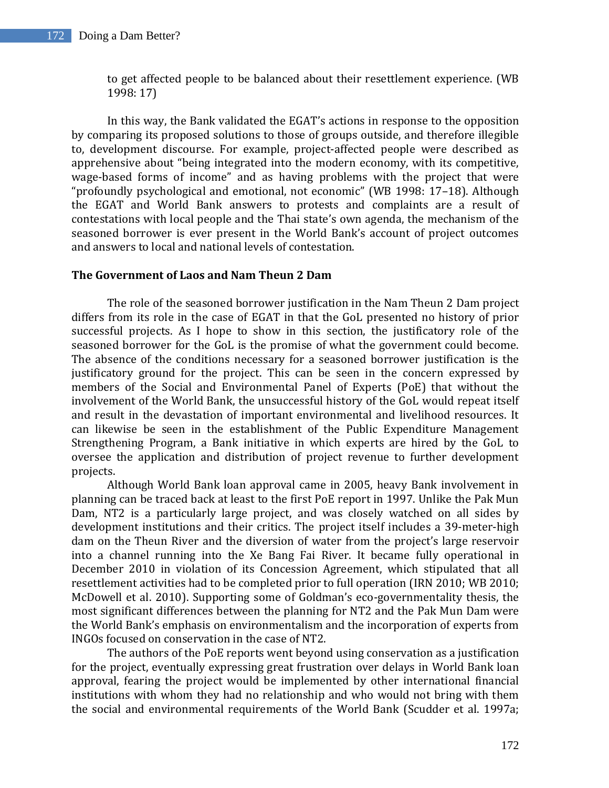to get affected people to be balanced about their resettlement experience. (WB 1998: 17)

In this way, the Bank validated the EGAT's actions in response to the opposition by comparing its proposed solutions to those of groups outside, and therefore illegible to, development discourse. For example, project-affected people were described as apprehensive about "being integrated into the modern economy, with its competitive, wage-based forms of income" and as having problems with the project that were "profoundly psychological and emotional, not economic" (WB 1998: 17–18). Although the EGAT and World Bank answers to protests and complaints are a result of contestations with local people and the Thai state's own agenda, the mechanism of the seasoned borrower is ever present in the World Bank's account of project outcomes and answers to local and national levels of contestation.

## **The Government of Laos and Nam Theun 2 Dam**

The role of the seasoned borrower justification in the Nam Theun 2 Dam project differs from its role in the case of EGAT in that the GoL presented no history of prior successful projects. As I hope to show in this section, the justificatory role of the seasoned borrower for the GoL is the promise of what the government could become. The absence of the conditions necessary for a seasoned borrower justification is the justificatory ground for the project. This can be seen in the concern expressed by members of the Social and Environmental Panel of Experts (PoE) that without the involvement of the World Bank, the unsuccessful history of the GoL would repeat itself and result in the devastation of important environmental and livelihood resources. It can likewise be seen in the establishment of the Public Expenditure Management Strengthening Program, a Bank initiative in which experts are hired by the GoL to oversee the application and distribution of project revenue to further development projects.

Although World Bank loan approval came in 2005, heavy Bank involvement in planning can be traced back at least to the first PoE report in 1997. Unlike the Pak Mun Dam, NT2 is a particularly large project, and was closely watched on all sides by development institutions and their critics. The project itself includes a 39-meter-high dam on the Theun River and the diversion of water from the project's large reservoir into a channel running into the Xe Bang Fai River. It became fully operational in December 2010 in violation of its Concession Agreement, which stipulated that all resettlement activities had to be completed prior to full operation (IRN 2010; WB 2010; McDowell et al. 2010). Supporting some of Goldman's eco-governmentality thesis, the most significant differences between the planning for NT2 and the Pak Mun Dam were the World Bank's emphasis on environmentalism and the incorporation of experts from INGOs focused on conservation in the case of NT2.

The authors of the PoE reports went beyond using conservation as a justification for the project, eventually expressing great frustration over delays in World Bank loan approval, fearing the project would be implemented by other international financial institutions with whom they had no relationship and who would not bring with them the social and environmental requirements of the World Bank (Scudder et al. 1997a;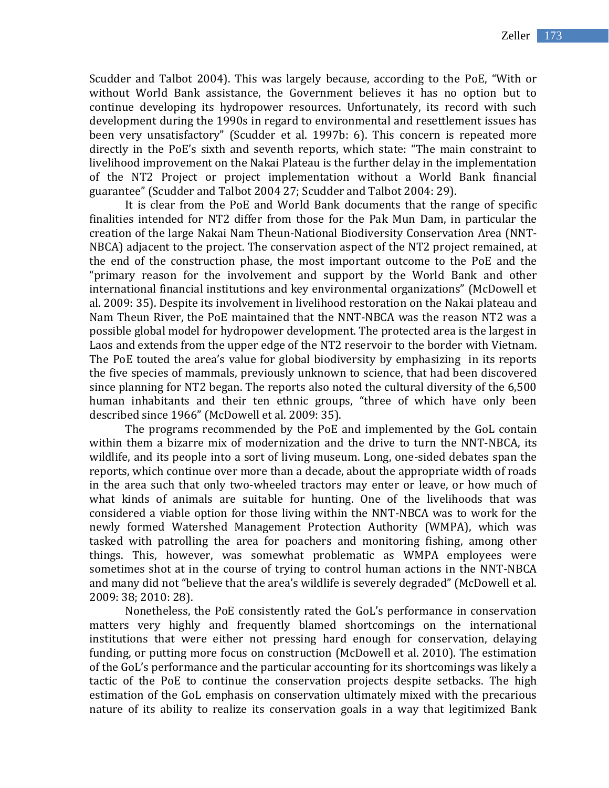Scudder and Talbot 2004). This was largely because, according to the PoE, "With or without World Bank assistance, the Government believes it has no option but to continue developing its hydropower resources. Unfortunately, its record with such development during the 1990s in regard to environmental and resettlement issues has been very unsatisfactory" (Scudder et al. 1997b: 6). This concern is repeated more directly in the PoE's sixth and seventh reports, which state: "The main constraint to livelihood improvement on the Nakai Plateau is the further delay in the implementation of the NT2 Project or project implementation without a World Bank financial guarantee" (Scudder and Talbot 2004 27; Scudder and Talbot 2004: 29).

It is clear from the PoE and World Bank documents that the range of specific finalities intended for NT2 differ from those for the Pak Mun Dam, in particular the creation of the large Nakai Nam Theun-National Biodiversity Conservation Area (NNT-NBCA) adjacent to the project. The conservation aspect of the NT2 project remained, at the end of the construction phase, the most important outcome to the PoE and the "primary reason for the involvement and support by the World Bank and other international financial institutions and key environmental organizations" (McDowell et al. 2009: 35). Despite its involvement in livelihood restoration on the Nakai plateau and Nam Theun River, the PoE maintained that the NNT-NBCA was the reason NT2 was a possible global model for hydropower development. The protected area is the largest in Laos and extends from the upper edge of the NT2 reservoir to the border with Vietnam. The PoE touted the area's value for global biodiversity by emphasizing in its reports the five species of mammals, previously unknown to science, that had been discovered since planning for NT2 began. The reports also noted the cultural diversity of the 6,500 human inhabitants and their ten ethnic groups, "three of which have only been described since 1966" (McDowell et al. 2009: 35).

The programs recommended by the PoE and implemented by the GoL contain within them a bizarre mix of modernization and the drive to turn the NNT-NBCA, its wildlife, and its people into a sort of living museum. Long, one-sided debates span the reports, which continue over more than a decade, about the appropriate width of roads in the area such that only two-wheeled tractors may enter or leave, or how much of what kinds of animals are suitable for hunting. One of the livelihoods that was considered a viable option for those living within the NNT-NBCA was to work for the newly formed Watershed Management Protection Authority (WMPA), which was tasked with patrolling the area for poachers and monitoring fishing, among other things. This, however, was somewhat problematic as WMPA employees were sometimes shot at in the course of trying to control human actions in the NNT-NBCA and many did not "believe that the area's wildlife is severely degraded" (McDowell et al. 2009: 38; 2010: 28).

Nonetheless, the PoE consistently rated the GoL's performance in conservation matters very highly and frequently blamed shortcomings on the international institutions that were either not pressing hard enough for conservation, delaying funding, or putting more focus on construction (McDowell et al. 2010). The estimation of the GoL's performance and the particular accounting for its shortcomings was likely a tactic of the PoE to continue the conservation projects despite setbacks. The high estimation of the GoL emphasis on conservation ultimately mixed with the precarious nature of its ability to realize its conservation goals in a way that legitimized Bank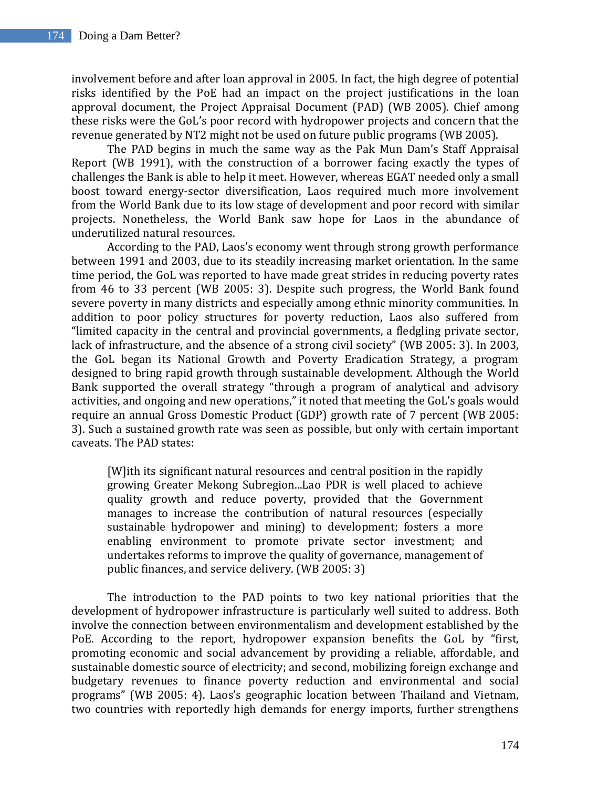involvement before and after loan approval in 2005. In fact, the high degree of potential risks identified by the PoE had an impact on the project justifications in the loan approval document, the Project Appraisal Document (PAD) (WB 2005). Chief among these risks were the GoL's poor record with hydropower projects and concern that the revenue generated by NT2 might not be used on future public programs (WB 2005).

The PAD begins in much the same way as the Pak Mun Dam's Staff Appraisal Report (WB 1991), with the construction of a borrower facing exactly the types of challenges the Bank is able to help it meet. However, whereas EGAT needed only a small boost toward energy-sector diversification, Laos required much more involvement from the World Bank due to its low stage of development and poor record with similar projects. Nonetheless, the World Bank saw hope for Laos in the abundance of underutilized natural resources.

According to the PAD, Laos's economy went through strong growth performance between 1991 and 2003, due to its steadily increasing market orientation. In the same time period, the GoL was reported to have made great strides in reducing poverty rates from 46 to 33 percent (WB 2005: 3). Despite such progress, the World Bank found severe poverty in many districts and especially among ethnic minority communities. In addition to poor policy structures for poverty reduction, Laos also suffered from "limited capacity in the central and provincial governments, a fledgling private sector, lack of infrastructure, and the absence of a strong civil society" (WB 2005: 3). In 2003, the GoL began its National Growth and Poverty Eradication Strategy, a program designed to bring rapid growth through sustainable development. Although the World Bank supported the overall strategy "through a program of analytical and advisory activities, and ongoing and new operations," it noted that meeting the GoL's goals would require an annual Gross Domestic Product (GDP) growth rate of 7 percent (WB 2005: 3). Such a sustained growth rate was seen as possible, but only with certain important caveats. The PAD states:

[W]ith its significant natural resources and central position in the rapidly growing Greater Mekong Subregion...Lao PDR is well placed to achieve quality growth and reduce poverty, provided that the Government manages to increase the contribution of natural resources (especially sustainable hydropower and mining) to development; fosters a more enabling environment to promote private sector investment; and undertakes reforms to improve the quality of governance, management of public finances, and service delivery. (WB 2005: 3)

The introduction to the PAD points to two key national priorities that the development of hydropower infrastructure is particularly well suited to address. Both involve the connection between environmentalism and development established by the PoE. According to the report, hydropower expansion benefits the GoL by "first, promoting economic and social advancement by providing a reliable, affordable, and sustainable domestic source of electricity; and second, mobilizing foreign exchange and budgetary revenues to finance poverty reduction and environmental and social programs" (WB 2005: 4). Laos's geographic location between Thailand and Vietnam, two countries with reportedly high demands for energy imports, further strengthens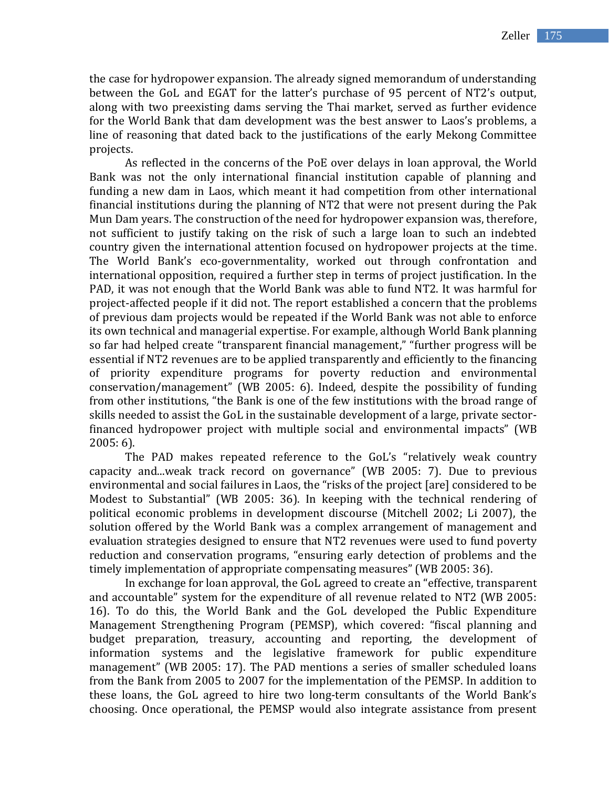the case for hydropower expansion. The already signed memorandum of understanding between the GoL and EGAT for the latter's purchase of 95 percent of NT2's output, along with two preexisting dams serving the Thai market, served as further evidence for the World Bank that dam development was the best answer to Laos's problems, a line of reasoning that dated back to the justifications of the early Mekong Committee projects.

As reflected in the concerns of the PoE over delays in loan approval, the World Bank was not the only international financial institution capable of planning and funding a new dam in Laos, which meant it had competition from other international financial institutions during the planning of NT2 that were not present during the Pak Mun Dam years. The construction of the need for hydropower expansion was, therefore, not sufficient to justify taking on the risk of such a large loan to such an indebted country given the international attention focused on hydropower projects at the time. The World Bank's eco-governmentality, worked out through confrontation and international opposition, required a further step in terms of project justification. In the PAD, it was not enough that the World Bank was able to fund NT2. It was harmful for project-affected people if it did not. The report established a concern that the problems of previous dam projects would be repeated if the World Bank was not able to enforce its own technical and managerial expertise. For example, although World Bank planning so far had helped create "transparent financial management," "further progress will be essential if NT2 revenues are to be applied transparently and efficiently to the financing of priority expenditure programs for poverty reduction and environmental conservation/management" (WB 2005: 6). Indeed, despite the possibility of funding from other institutions, "the Bank is one of the few institutions with the broad range of skills needed to assist the GoL in the sustainable development of a large, private sectorfinanced hydropower project with multiple social and environmental impacts" (WB 2005: 6).

The PAD makes repeated reference to the GoL's "relatively weak country capacity and...weak track record on governance" (WB 2005: 7). Due to previous environmental and social failures in Laos, the "risks of the project [are] considered to be Modest to Substantial" (WB 2005: 36). In keeping with the technical rendering of political economic problems in development discourse (Mitchell 2002; Li 2007), the solution offered by the World Bank was a complex arrangement of management and evaluation strategies designed to ensure that NT2 revenues were used to fund poverty reduction and conservation programs, "ensuring early detection of problems and the timely implementation of appropriate compensating measures" (WB 2005: 36).

In exchange for loan approval, the GoL agreed to create an "effective, transparent and accountable" system for the expenditure of all revenue related to NT2 (WB 2005: 16). To do this, the World Bank and the GoL developed the Public Expenditure Management Strengthening Program (PEMSP), which covered: "fiscal planning and budget preparation, treasury, accounting and reporting, the development of information systems and the legislative framework for public expenditure management" (WB 2005: 17). The PAD mentions a series of smaller scheduled loans from the Bank from 2005 to 2007 for the implementation of the PEMSP. In addition to these loans, the GoL agreed to hire two long-term consultants of the World Bank's choosing. Once operational, the PEMSP would also integrate assistance from present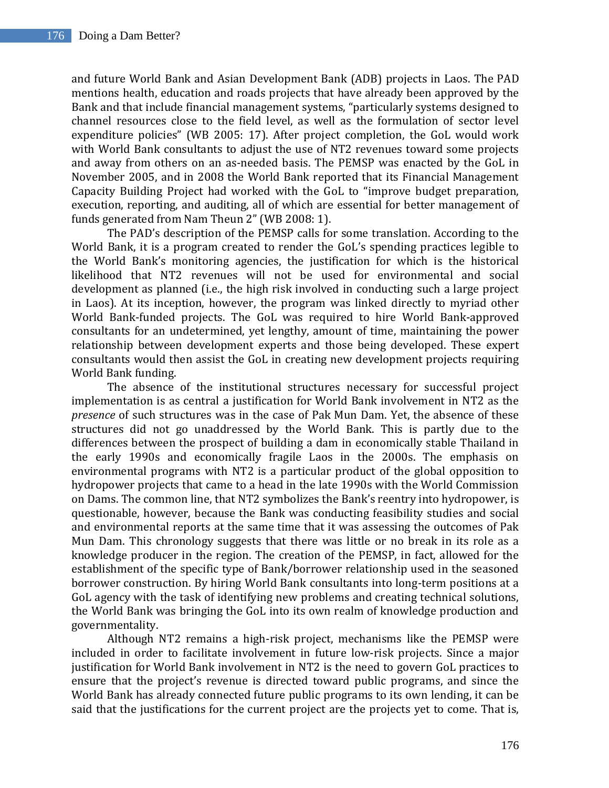and future World Bank and Asian Development Bank (ADB) projects in Laos. The PAD mentions health, education and roads projects that have already been approved by the Bank and that include financial management systems, "particularly systems designed to channel resources close to the field level, as well as the formulation of sector level expenditure policies" (WB 2005: 17). After project completion, the GoL would work with World Bank consultants to adjust the use of NT2 revenues toward some projects and away from others on an as-needed basis. The PEMSP was enacted by the GoL in November 2005, and in 2008 the World Bank reported that its Financial Management Capacity Building Project had worked with the GoL to "improve budget preparation, execution, reporting, and auditing, all of which are essential for better management of funds generated from Nam Theun 2" (WB 2008: 1).

The PAD's description of the PEMSP calls for some translation. According to the World Bank, it is a program created to render the GoL's spending practices legible to the World Bank's monitoring agencies, the justification for which is the historical likelihood that NT2 revenues will not be used for environmental and social development as planned (i.e., the high risk involved in conducting such a large project in Laos). At its inception, however, the program was linked directly to myriad other World Bank-funded projects. The GoL was required to hire World Bank-approved consultants for an undetermined, yet lengthy, amount of time, maintaining the power relationship between development experts and those being developed. These expert consultants would then assist the GoL in creating new development projects requiring World Bank funding.

The absence of the institutional structures necessary for successful project implementation is as central a justification for World Bank involvement in NT2 as the *presence* of such structures was in the case of Pak Mun Dam. Yet, the absence of these structures did not go unaddressed by the World Bank. This is partly due to the differences between the prospect of building a dam in economically stable Thailand in the early 1990s and economically fragile Laos in the 2000s. The emphasis on environmental programs with NT2 is a particular product of the global opposition to hydropower projects that came to a head in the late 1990s with the World Commission on Dams. The common line, that NT2 symbolizes the Bank's reentry into hydropower, is questionable, however, because the Bank was conducting feasibility studies and social and environmental reports at the same time that it was assessing the outcomes of Pak Mun Dam. This chronology suggests that there was little or no break in its role as a knowledge producer in the region. The creation of the PEMSP, in fact, allowed for the establishment of the specific type of Bank/borrower relationship used in the seasoned borrower construction. By hiring World Bank consultants into long-term positions at a GoL agency with the task of identifying new problems and creating technical solutions, the World Bank was bringing the GoL into its own realm of knowledge production and governmentality.

Although NT2 remains a high-risk project, mechanisms like the PEMSP were included in order to facilitate involvement in future low-risk projects. Since a major justification for World Bank involvement in NT2 is the need to govern GoL practices to ensure that the project's revenue is directed toward public programs, and since the World Bank has already connected future public programs to its own lending, it can be said that the justifications for the current project are the projects yet to come. That is,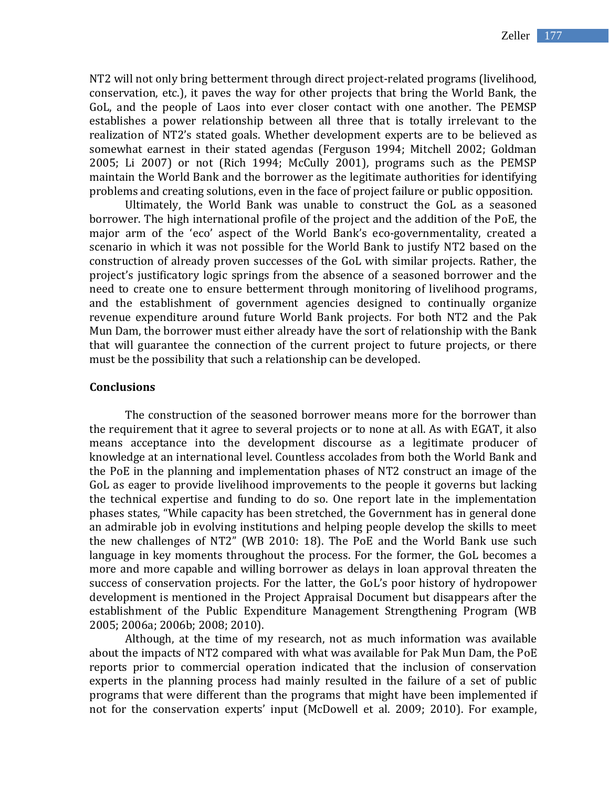NT2 will not only bring betterment through direct project-related programs (livelihood, conservation, etc.), it paves the way for other projects that bring the World Bank, the GoL, and the people of Laos into ever closer contact with one another. The PEMSP establishes a power relationship between all three that is totally irrelevant to the realization of NT2's stated goals. Whether development experts are to be believed as somewhat earnest in their stated agendas (Ferguson 1994; Mitchell 2002; Goldman 2005; Li 2007) or not (Rich 1994; McCully 2001), programs such as the PEMSP maintain the World Bank and the borrower as the legitimate authorities for identifying problems and creating solutions, even in the face of project failure or public opposition.

Ultimately, the World Bank was unable to construct the GoL as a seasoned borrower. The high international profile of the project and the addition of the PoE, the major arm of the 'eco' aspect of the World Bank's eco-governmentality, created a scenario in which it was not possible for the World Bank to justify NT2 based on the construction of already proven successes of the GoL with similar projects. Rather, the project's justificatory logic springs from the absence of a seasoned borrower and the need to create one to ensure betterment through monitoring of livelihood programs, and the establishment of government agencies designed to continually organize revenue expenditure around future World Bank projects. For both NT2 and the Pak Mun Dam, the borrower must either already have the sort of relationship with the Bank that will guarantee the connection of the current project to future projects, or there must be the possibility that such a relationship can be developed.

#### **Conclusions**

The construction of the seasoned borrower means more for the borrower than the requirement that it agree to several projects or to none at all. As with EGAT, it also means acceptance into the development discourse as a legitimate producer of knowledge at an international level. Countless accolades from both the World Bank and the PoE in the planning and implementation phases of NT2 construct an image of the GoL as eager to provide livelihood improvements to the people it governs but lacking the technical expertise and funding to do so. One report late in the implementation phases states, "While capacity has been stretched, the Government has in general done an admirable job in evolving institutions and helping people develop the skills to meet the new challenges of NT2" (WB 2010: 18). The PoE and the World Bank use such language in key moments throughout the process. For the former, the GoL becomes a more and more capable and willing borrower as delays in loan approval threaten the success of conservation projects. For the latter, the GoL's poor history of hydropower development is mentioned in the Project Appraisal Document but disappears after the establishment of the Public Expenditure Management Strengthening Program (WB 2005; 2006a; 2006b; 2008; 2010).

Although, at the time of my research, not as much information was available about the impacts of NT2 compared with what was available for Pak Mun Dam, the PoE reports prior to commercial operation indicated that the inclusion of conservation experts in the planning process had mainly resulted in the failure of a set of public programs that were different than the programs that might have been implemented if not for the conservation experts' input (McDowell et al. 2009; 2010). For example,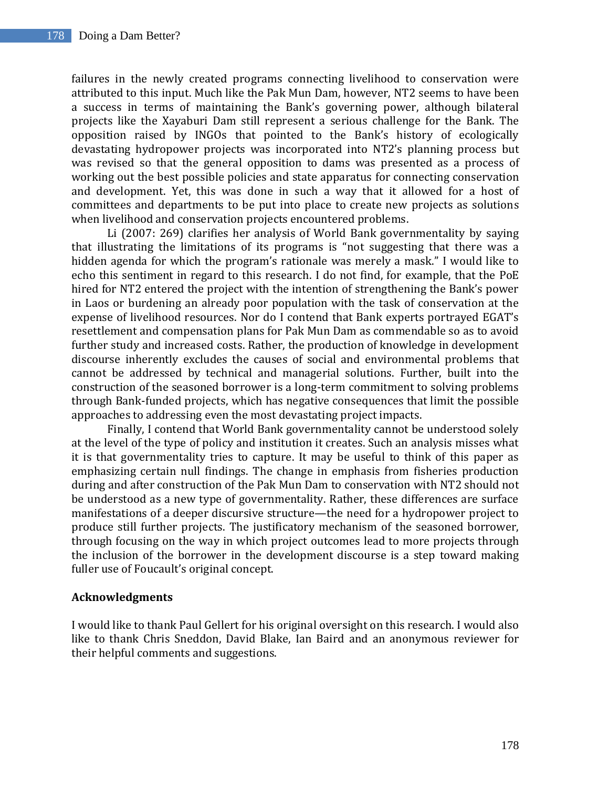failures in the newly created programs connecting livelihood to conservation were attributed to this input. Much like the Pak Mun Dam, however, NT2 seems to have been a success in terms of maintaining the Bank's governing power, although bilateral projects like the Xayaburi Dam still represent a serious challenge for the Bank. The opposition raised by INGOs that pointed to the Bank's history of ecologically devastating hydropower projects was incorporated into NT2's planning process but was revised so that the general opposition to dams was presented as a process of working out the best possible policies and state apparatus for connecting conservation and development. Yet, this was done in such a way that it allowed for a host of committees and departments to be put into place to create new projects as solutions when livelihood and conservation projects encountered problems.

Li (2007: 269) clarifies her analysis of World Bank governmentality by saying that illustrating the limitations of its programs is "not suggesting that there was a hidden agenda for which the program's rationale was merely a mask." I would like to echo this sentiment in regard to this research. I do not find, for example, that the PoE hired for NT2 entered the project with the intention of strengthening the Bank's power in Laos or burdening an already poor population with the task of conservation at the expense of livelihood resources. Nor do I contend that Bank experts portrayed EGAT's resettlement and compensation plans for Pak Mun Dam as commendable so as to avoid further study and increased costs. Rather, the production of knowledge in development discourse inherently excludes the causes of social and environmental problems that cannot be addressed by technical and managerial solutions. Further, built into the construction of the seasoned borrower is a long-term commitment to solving problems through Bank-funded projects, which has negative consequences that limit the possible approaches to addressing even the most devastating project impacts.

Finally, I contend that World Bank governmentality cannot be understood solely at the level of the type of policy and institution it creates. Such an analysis misses what it is that governmentality tries to capture. It may be useful to think of this paper as emphasizing certain null findings. The change in emphasis from fisheries production during and after construction of the Pak Mun Dam to conservation with NT2 should not be understood as a new type of governmentality. Rather, these differences are surface manifestations of a deeper discursive structure—the need for a hydropower project to produce still further projects. The justificatory mechanism of the seasoned borrower, through focusing on the way in which project outcomes lead to more projects through the inclusion of the borrower in the development discourse is a step toward making fuller use of Foucault's original concept.

# **Acknowledgments**

I would like to thank Paul Gellert for his original oversight on this research. I would also like to thank Chris Sneddon, David Blake, Ian Baird and an anonymous reviewer for their helpful comments and suggestions.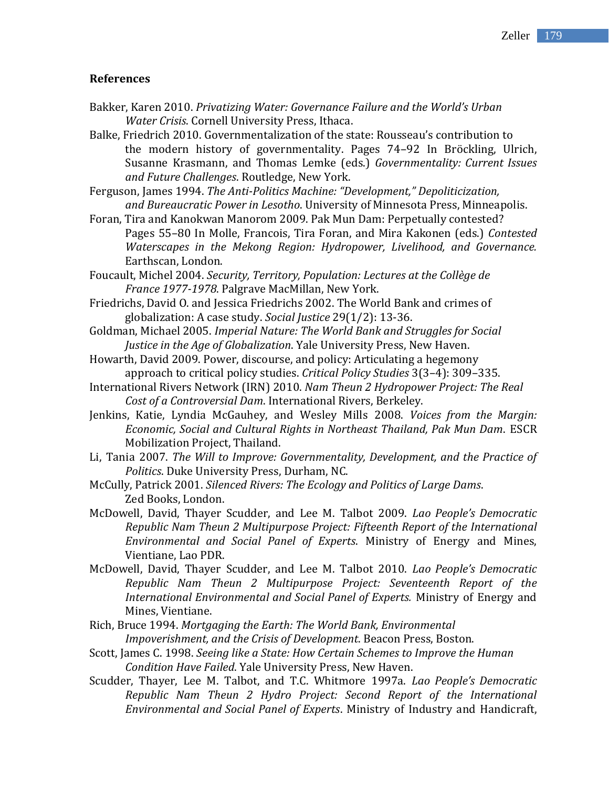## **References**

Bakker, Karen 2010. *Privatizing Water: Governance Failure and the World's Urban Water Crisis*. Cornell University Press, Ithaca.

Balke, Friedrich 2010. Governmentalization of the state: Rousseau's contribution to the modern history of governmentality. Pages 74–92 In Bröckling, Ulrich, Susanne Krasmann, and Thomas Lemke (eds.) *Governmentality: Current Issues and Future Challenges*. Routledge, New York.

Ferguson, James 1994. *The Anti-Politics Machine: "Development," Depoliticization, and Bureaucratic Power in Lesotho*. University of Minnesota Press, Minneapolis.

Foran, Tira and Kanokwan Manorom 2009. Pak Mun Dam: Perpetually contested? Pages 55–80 In Molle, Francois, Tira Foran, and Mira Kakonen (eds.) *Contested Waterscapes in the Mekong Region: Hydropower, Livelihood, and Governance.* Earthscan, London.

Foucault, Michel 2004. *Security, Territory, Population: Lectures at the Collège de France 1977-1978*. Palgrave MacMillan, New York.

Friedrichs, David O. and Jessica Friedrichs 2002. The World Bank and crimes of globalization: A case study. *Social Justice* 29(1/2): 13-36.

- Goldman, Michael 2005. *Imperial Nature: The World Bank and Struggles for Social Justice in the Age of Globalization*. Yale University Press, New Haven.
- Howarth, David 2009. Power, discourse, and policy: Articulating a hegemony approach to critical policy studies. *Critical Policy Studies* 3(3–4): 309–335.
- International Rivers Network (IRN) 2010. *Nam Theun 2 Hydropower Project: The Real Cost of a Controversial Dam*. International Rivers, Berkeley.
- Jenkins, Katie, Lyndia McGauhey, and Wesley Mills 2008. *Voices from the Margin: Economic, Social and Cultural Rights in Northeast Thailand, Pak Mun Dam*. ESCR Mobilization Project, Thailand.
- Li, Tania 2007. *The Will to Improve: Governmentality, Development, and the Practice of Politics*. Duke University Press, Durham, NC.

McCully, Patrick 2001. *Silenced Rivers: The Ecology and Politics of Large Dams*. Zed Books, London.

- McDowell, David, Thayer Scudder, and Lee M. Talbot 2009. *Lao People's Democratic Republic Nam Theun 2 Multipurpose Project: Fifteenth Report of the International Environmental and Social Panel of Experts*. Ministry of Energy and Mines, Vientiane, Lao PDR.
- McDowell, David, Thayer Scudder, and Lee M. Talbot 2010. *Lao People's Democratic Republic Nam Theun 2 Multipurpose Project: Seventeenth Report of the International Environmental and Social Panel of Experts.* Ministry of Energy and Mines, Vientiane.

Rich, Bruce 1994. *Mortgaging the Earth: The World Bank, Environmental Impoverishment, and the Crisis of Development*. Beacon Press, Boston.

- Scott, James C. 1998. *Seeing like a State: How Certain Schemes to Improve the Human Condition Have Failed*. Yale University Press, New Haven.
- Scudder, Thayer, Lee M. Talbot, and T.C. Whitmore 1997a. *Lao People's Democratic Republic Nam Theun 2 Hydro Project: Second Report of the International Environmental and Social Panel of Experts*. Ministry of Industry and Handicraft,